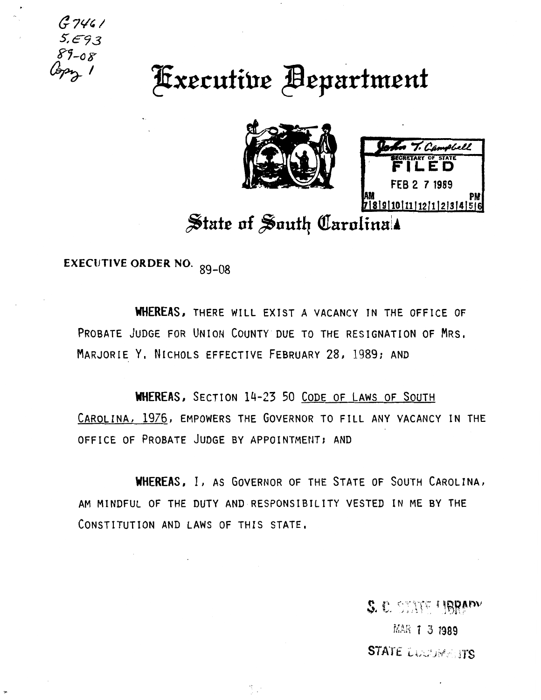$G7461$  $89 - 08$ 

## **Executive Bepartment**





## State of South Carolina!

**EXECUTIVE ORDER NO.** 89-08

WHEREAS, THERE WILL EXIST A VACANCY IN THE OFFICE OF PROBATE JUDGE FOR UNION COUNTY DUE TO THE RESIGNATION OF MRS. MARJORIE Y. NICHOLS EFFECTIVE FEBRUARY 28, 1989; AND

WHEREAS, SECTION 14-23 50 CODE OF LAWS OF SOUTH CAROLINA, 1976, EMPOWERS THE GOVERNOR TO FILL ANY VACANCY IN THE OFFICE OF PROBATE JUDGE BY APPOINTMENT; AND

WHEREAS, I, AS GOVERNOR OF THE STATE OF SOUTH CAROLINA, AM MINDFUL OF THE DUTY AND RESPONSIBILITY VESTED IN ME BY THE CONSTITUTION AND LAWS OF THIS STATE.

 $\mathbb{S}_{\geq 0}$ 

S. C. STATE UBBADY

MAR 1 3 1989 **STATE LUCTIMENTS**